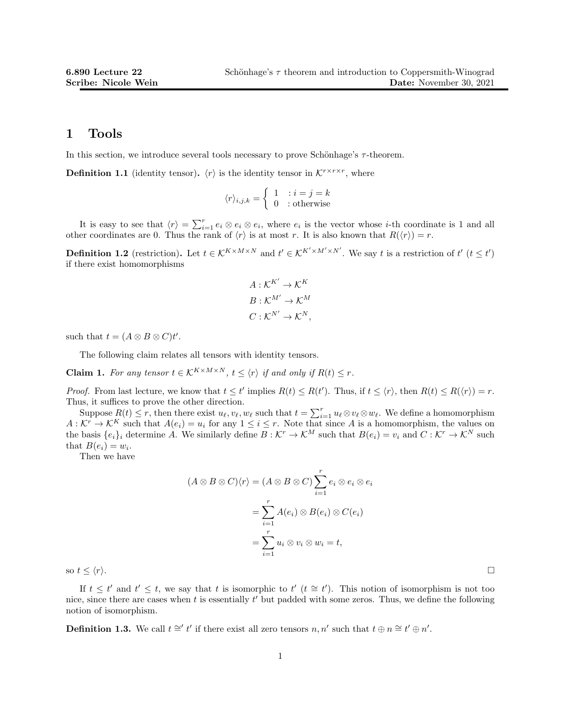#### 1 Tools

In this section, we introduce several tools necessary to prove Schönhage's  $\tau$ -theorem.

**Definition 1.1** (identity tensor).  $\langle r \rangle$  is the identity tensor in  $\mathcal{K}^{r \times r \times r}$ , where

$$
\langle r \rangle_{i,j,k} = \begin{cases} 1 & : i = j = k \\ 0 & : \text{otherwise} \end{cases}
$$

It is easy to see that  $\langle r \rangle = \sum_{i=1}^r e_i \otimes e_i \otimes e_i$ , where  $e_i$  is the vector whose *i*-th coordinate is 1 and all other coordinates are 0. Thus the rank of  $\langle r \rangle$  is at most r. It is also known that  $R(\langle r \rangle) = r$ .

**Definition 1.2** (restriction). Let  $t \in K^{K \times M \times N}$  and  $t' \in K^{K' \times M' \times N'}$ . We say t is a restriction of  $t'$   $(t \leq t')$ if there exist homomorphisms

$$
A: \mathcal{K}^{K'} \to \mathcal{K}^{K}
$$

$$
B: \mathcal{K}^{M'} \to \mathcal{K}^{M}
$$

$$
C: \mathcal{K}^{N'} \to \mathcal{K}^{N},
$$

such that  $t = (A \otimes B \otimes C)t'$ .

The following claim relates all tensors with identity tensors.

**Claim 1.** For any tensor  $t \in K^{K \times M \times N}$ ,  $t \leq \langle r \rangle$  if and only if  $R(t) \leq r$ .

*Proof.* From last lecture, we know that  $t \leq t'$  implies  $R(t) \leq R(t')$ . Thus, if  $t \leq \langle r \rangle$ , then  $R(t) \leq R(\langle r \rangle) = r$ . Thus, it suffices to prove the other direction.

Suppose  $R(t) \leq r$ , then there exist  $u_{\ell}, v_{\ell}, w_{\ell}$  such that  $t = \sum_{i=1}^r u_{\ell} \otimes v_{\ell} \otimes w_{\ell}$ . We define a homomorphism  $A: \mathcal{K}^r \to \mathcal{K}^K$  such that  $A(e_i) = u_i$  for any  $1 \leq i \leq r$ . Note that since A is a homomorphism, the values on the basis  $\{e_i\}_i$  determine A. We similarly define  $B : \mathcal{K}^r \to \mathcal{K}^M$  such that  $B(e_i) = v_i$  and  $C : \mathcal{K}^r \to \mathcal{K}^N$  such that  $B(e_i) = w_i$ .

Then we have

$$
(A \otimes B \otimes C)\langle r \rangle = (A \otimes B \otimes C) \sum_{i=1}^{r} e_i \otimes e_i \otimes e_i
$$

$$
= \sum_{i=1}^{r} A(e_i) \otimes B(e_i) \otimes C(e_i)
$$

$$
= \sum_{i=1}^{r} u_i \otimes v_i \otimes w_i = t,
$$

so  $t \leq \langle r \rangle$ .

If  $t \leq t'$  and  $t' \leq t$ , we say that t is isomorphic to  $t'$   $(t \cong t')$ . This notion of isomorphism is not too nice, since there are cases when  $t$  is essentially  $t'$  but padded with some zeros. Thus, we define the following notion of isomorphism.

**Definition 1.3.** We call  $t \cong t'$  if there exist all zero tensors  $n, n'$  such that  $t \oplus n \cong t' \oplus n'$ .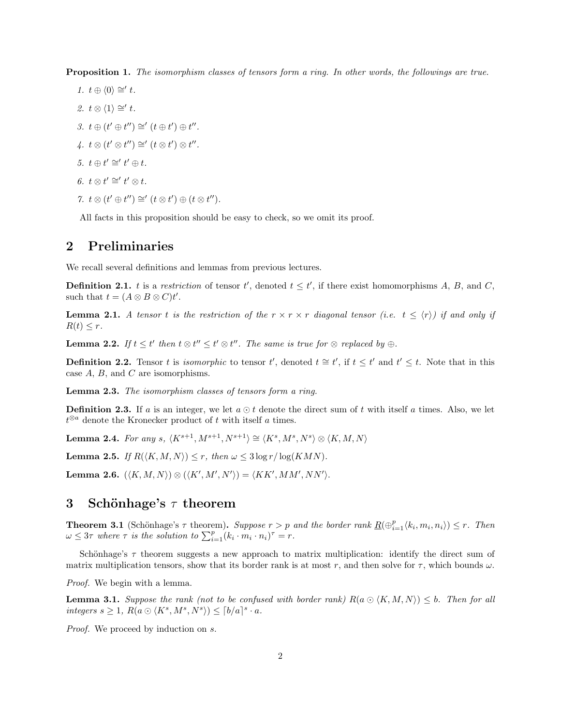Proposition 1. The isomorphism classes of tensors form a ring. In other words, the followings are true.

1.  $t \oplus \langle 0 \rangle \cong' t$ . 2.  $t \otimes \langle 1 \rangle \cong' t$ . 3.  $t \oplus (t' \oplus t'') \cong (t \oplus t') \oplus t''$ .  $4. t \otimes (t' \otimes t'') \cong (t \otimes t') \otimes t''$ . 5.  $t \oplus t' \cong' t' \oplus t$ . 6.  $t \otimes t' \cong' t' \otimes t$ . 7.  $t \otimes (t' \oplus t'') \cong (t \otimes t') \oplus (t \otimes t'')$ .

All facts in this proposition should be easy to check, so we omit its proof.

# 2 Preliminaries

We recall several definitions and lemmas from previous lectures.

**Definition 2.1.** t is a restriction of tensor t', denoted  $t \leq t'$ , if there exist homomorphisms A, B, and C, such that  $t = (A \otimes B \otimes C)t'$ .

**Lemma 2.1.** A tensor t is the restriction of the  $r \times r \times r$  diagonal tensor (i.e.  $t \leq \langle r \rangle$ ) if and only if  $R(t) \leq r$ .

**Lemma 2.2.** If  $t \leq t'$  then  $t \otimes t'' \leq t' \otimes t''$ . The same is true for  $\otimes$  replaced by  $\oplus$ .

**Definition 2.2.** Tensor t is *isomorphic* to tensor t', denoted  $t \approx t'$ , if  $t \leq t'$  and  $t' \leq t$ . Note that in this case  $A$ ,  $B$ , and  $C$  are isomorphisms.

Lemma 2.3. The isomorphism classes of tensors form a ring.

**Definition 2.3.** If a is an integer, we let  $a \odot t$  denote the direct sum of t with itself a times. Also, we let  $t^{\otimes a}$  denote the Kronecker product of t with itself a times.

Lemma 2.4. For any s,  $\langle K^{s+1}, M^{s+1}, N^{s+1} \rangle \cong \langle K^s, M^s, N^s \rangle \otimes \langle K, M, N \rangle$ 

**Lemma 2.5.** If  $R(\langle K, M, N \rangle) \leq r$ , then  $\omega \leq 3 \log r / \log(KMN)$ .

Lemma 2.6.  $(\langle K, M, N \rangle) \otimes (\langle K', M', N' \rangle) = \langle K K', MM', NN' \rangle$ .

# 3 Schönhage's  $\tau$  theorem

**Theorem 3.1** (Schönhage's  $\tau$  theorem). Suppose  $r > p$  and the border rank  $\underline{R}(\bigoplus_{i=1}^{p} \langle k_i, m_i, n_i \rangle) \leq r$ . Then  $\omega \leq 3\tau$  where  $\tau$  is the solution to  $\sum_{i=1}^{p} (k_i \cdot m_i \cdot n_i)^{\tau} = r$ .

Schönhage's  $\tau$  theorem suggests a new approach to matrix multiplication: identify the direct sum of matrix multiplication tensors, show that its border rank is at most r, and then solve for  $\tau$ , which bounds  $\omega$ .

Proof. We begin with a lemma.

**Lemma 3.1.** Suppose the rank (not to be confused with border rank)  $R(a \bigcirc (K, M, N)) \leq b$ . Then for all integers  $s \geq 1$ ,  $R(a \odot \langle K^s, M^s, N^s \rangle) \leq \lceil b/a \rceil^s \cdot a$ .

Proof. We proceed by induction on s.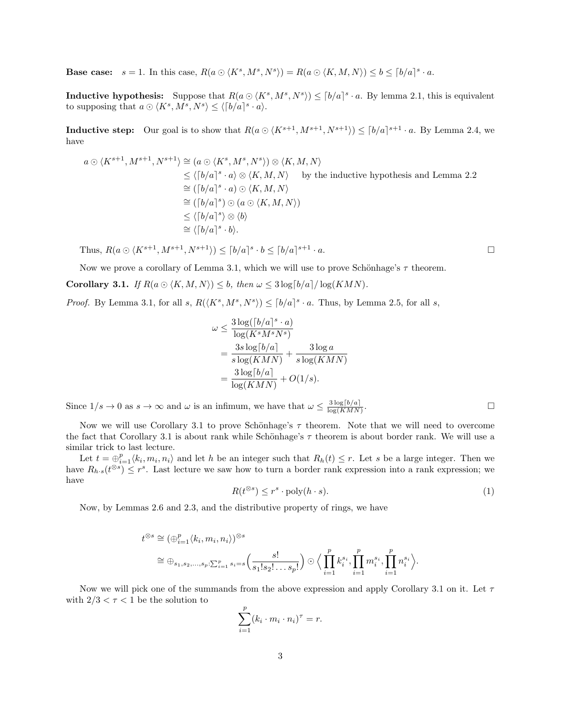**Base case:**  $s = 1$ . In this case,  $R(a \odot \langle K^s, M^s, N^s \rangle) = R(a \odot \langle K, M, N \rangle) \leq b \leq \lceil b/a \rceil^s \cdot a$ .

**Inductive hypothesis:** Suppose that  $R(a \odot \langle K^s, M^s, N^s \rangle) \leq [b/a]^s \cdot a$ . By lemma 2.1, this is equivalent to supposing that  $a \odot \langle K^s, M^s, N^s \rangle \le \langle [b/a]^s \cdot a \rangle$ .

**Inductive step:** Our goal is to show that  $R(a \odot \langle K^{s+1}, M^{s+1}, N^{s+1} \rangle) \leq [b/a]^{s+1} \cdot a$ . By Lemma 2.4, we have

$$
a \odot \langle K^{s+1}, M^{s+1}, N^{s+1} \rangle \cong (a \odot \langle K^s, M^s, N^s \rangle) \otimes \langle K, M, N \rangle
$$
  
\n
$$
\leq \langle [b/a]^s \cdot a \rangle \otimes \langle K, M, N \rangle \qquad \text{by the inductive hypothesis and Lemma 2.2}
$$
  
\n
$$
\cong ([b/a]^s \cdot a) \odot \langle K, M, N \rangle
$$
  
\n
$$
\cong ([b/a]^s) \odot (a \odot \langle K, M, N \rangle)
$$
  
\n
$$
\leq \langle [b/a]^s \rangle \otimes \langle b \rangle
$$
  
\n
$$
\cong \langle [b/a]^s \cdot b \rangle.
$$

Thus,  $R(a \odot \langle K^{s+1}, M^{s+1}, N^{s+1} \rangle) \leq [b/a]^{s} \cdot b \leq [b/a]^{s+1}$  $\cdot a.$ 

Now we prove a corollary of Lemma 3.1, which we will use to prove Schönhage's  $\tau$  theorem.

**Corollary 3.1.** If  $R(a \odot \langle K, M, N \rangle) \leq b$ , then  $\omega \leq 3 \log[b/a]/\log(KMN)$ .

*Proof.* By Lemma 3.1, for all s,  $R(\langle K^s, M^s, N^s \rangle) \leq [b/a]^s \cdot a$ . Thus, by Lemma 2.5, for all s,

$$
\omega \leq \frac{3\log([b/a]^s \cdot a)}{\log(K^s M^s N^s)}
$$
  
= 
$$
\frac{3s\log[b/a]}{s\log(KMN)} + \frac{3\log a}{s\log(KMN)}
$$
  
= 
$$
\frac{3\log[b/a]}{\log(KMN)} + O(1/s).
$$

Since  $1/s \to 0$  as  $s \to \infty$  and  $\omega$  is an infimum, we have that  $\omega \leq \frac{3 \log(b/a)}{\log(KMN)}$  $log(KMN)$ .

Now we will use Corollary 3.1 to prove Schönhage's  $\tau$  theorem. Note that we will need to overcome the fact that Corollary 3.1 is about rank while Schönhage's  $\tau$  theorem is about border rank. We will use a similar trick to last lecture.

Let  $t = \bigoplus_{i=1}^p \langle k_i, m_i, n_i \rangle$  and let h be an integer such that  $R_h(t) \leq r$ . Let s be a large integer. Then we have  $R_{h\cdot s}(t^{\otimes s}) \leq r^s$ . Last lecture we saw how to turn a border rank expression into a rank expression; we have

$$
R(t^{\otimes s}) \le r^s \cdot \text{poly}(h \cdot s). \tag{1}
$$

Now, by Lemmas 2.6 and 2.3, and the distributive property of rings, we have

$$
t^{\otimes s} \cong (\bigoplus_{i=1}^p \langle k_i, m_i, n_i \rangle)^{\otimes s}
$$
  

$$
\cong \bigoplus_{s_1, s_2, \dots, s_p: \sum_{i=1}^p s_i = s} \left( \frac{s!}{s_1! s_2! \dots s_p!} \right) \odot \Big\langle \prod_{i=1}^p k_i^{s_i}, \prod_{i=1}^p m_i^{s_i}, \prod_{i=1}^p n_i^{s_i} \Big\rangle.
$$

Now we will pick one of the summands from the above expression and apply Corollary 3.1 on it. Let  $\tau$ with  $2/3 < \tau < 1$  be the solution to

$$
\sum_{i=1}^p (k_i \cdot m_i \cdot n_i)^\tau = r.
$$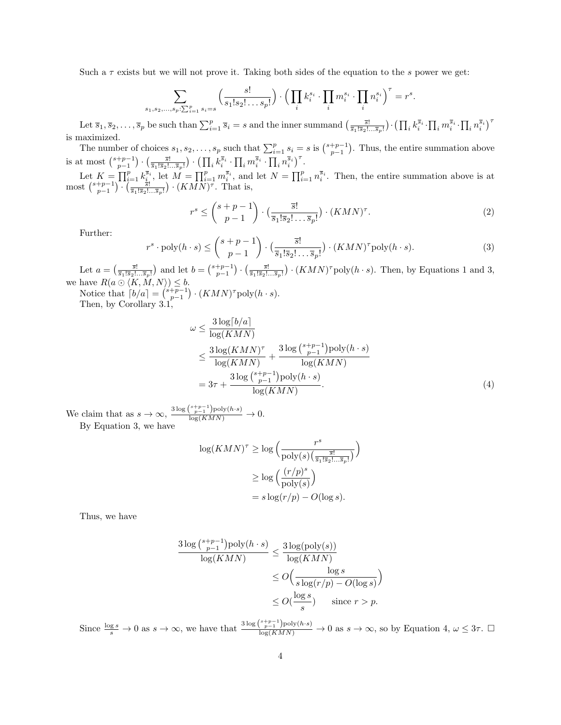Such a  $\tau$  exists but we will not prove it. Taking both sides of the equation to the s power we get:

$$
\sum_{s_1, s_2, ..., s_p: \sum_{i=1}^p s_i = s} \left( \frac{s!}{s_1! s_2! \dots s_p!} \right) \cdot \left( \prod_i k_i^{s_i} \cdot \prod_i m_i^{s_i} \cdot \prod_i n_i^{s_i} \right)^{\tau} = r^s.
$$

Let  $\overline{s}_1, \overline{s}_2, \ldots, \overline{s}_p$  be such than  $\sum_{i=1}^p \overline{s}_i = s$  and the inner summand  $\left(\frac{\overline{s}_1!}{\overline{s}_1!\overline{s}_2!\ldots\overline{s}_p!}\right) \cdot \left(\prod_i k_i^{\overline{s}_i} \cdot \prod_i m_i^{\overline{s}_i} \cdot \prod_i n_i^{\overline{s}_i}\right)^{\tau}$ is maximized.

The number of choices  $s_1, s_2, \ldots, s_p$  such that  $\sum_{i=1}^p s_i = s$  is  $\binom{s+p-1}{p-1}$ . Thus, the entire summation above is at most  $\binom{s+p-1}{p-1} \cdot \left(\frac{\overline{s}!}{\overline{s}_1!\overline{s}_2!\dots \overline{s}_p!}\right) \cdot \left(\prod_i k_i^{\overline{s}_i} \cdot \prod_i m_i^{\overline{s}_i} \cdot \prod_i n_i^{\overline{s}_i}\right)^{\tau}$ .

Let  $K = \prod_{i=1}^p k_i^{\overline{s}_i}$ , let  $M = \prod_{i=1}^p m_i^{\overline{s}_i}$ , and let  $N = \prod_{i=1}^p n_i^{\overline{s}_i}$ . Then, the entire summation above is at most  $\binom{s+p-1}{p-1} \cdot \left(\frac{\frac{1}{s!}}{\frac{1}{s_1! s_2! \dots s_p!}}\right) \cdot (KMN)^{\tau}$ . That is,

$$
r^{s} \le \binom{s+p-1}{p-1} \cdot \left(\frac{\overline{s}!}{\overline{s}_{1}!\overline{s}_{2}!\dots\overline{s}_{p}!}\right) \cdot (KMN)^{\tau}.
$$
 (2)

Further:

$$
r^{s} \cdot \text{poly}(h \cdot s) \le \binom{s+p-1}{p-1} \cdot \left(\frac{\overline{s}!}{\overline{s}_1! \overline{s}_2! \dots \overline{s}_p!} \right) \cdot (KMN)^{\tau} \text{poly}(h \cdot s). \tag{3}
$$

Let  $a = \left(\frac{\overline{s}!}{\overline{s}_1!\overline{s}_2!\dots\overline{s}_p!}\right)$  and let  $b = \left(\frac{s+p-1}{p-1}\right) \cdot \left(\frac{\overline{s}!}{\overline{s}_1!\overline{s}_2!\dots\overline{s}_p!}\right) \cdot (KMN)^{\tau}$  poly $(h \cdot s)$ . Then, by Equations 1 and 3, we have  $R(a \odot \langle K, M, N \rangle) \leq b$ .

Notice that  $\lceil b/a \rceil = \binom{s+p-1}{p-1} \cdot (KMN)^{\tau} \text{poly}(h \cdot s)$ . Then, by Corollary 3.1,

$$
\omega \le \frac{3\log\left[\frac{b}{a}\right]}{\log(KMN)}
$$
  
\n
$$
\le \frac{3\log(KMN)^{\tau}}{\log(KMN)} + \frac{3\log\left(\frac{s+p-1}{p-1}\right)\log(h\cdot s)}{\log(KMN)}
$$
  
\n
$$
= 3\tau + \frac{3\log\left(\frac{s+p-1}{p-1}\right)\log(h\cdot s)}{\log(KMN)}.
$$
\n(4)

We claim that as  $s \to \infty$ ,  $\frac{3 \log {s+p-1 \choose p-1} \text{poly}(h \cdot s)}{\log(KMN)} \to 0$ . By Equation 3, we have

$$
\log(KMN)^{\tau} \ge \log\left(\frac{r^s}{\text{poly}(s)\left(\frac{\overline{s}!}{\overline{s}_1!\overline{s}_2!\dots\overline{s}_p!}\right)}\right)
$$

$$
\ge \log\left(\frac{(r/p)^s}{\text{poly}(s)}\right)
$$

$$
= s\log(r/p) - O(\log s).
$$

Thus, we have

$$
\frac{3\log\binom{s+p-1}{p-1}\text{poly}(h\cdot s)}{\log(KMN)} \le \frac{3\log(\text{poly}(s))}{\log(KMN)}
$$
  

$$
\le O\left(\frac{\log s}{s\log(r/p) - O(\log s)}\right)
$$
  

$$
\le O\left(\frac{\log s}{s}\right) \quad \text{since } r > p.
$$

Since  $\frac{\log s}{s} \to 0$  as  $s \to \infty$ , we have that  $\frac{3 \log {s+p-1 \choose p-1} \text{poly}(h \cdot s)}{\log(KMN)} \to 0$  as  $s \to \infty$ , so by Equation 4,  $\omega \leq 3\tau$ .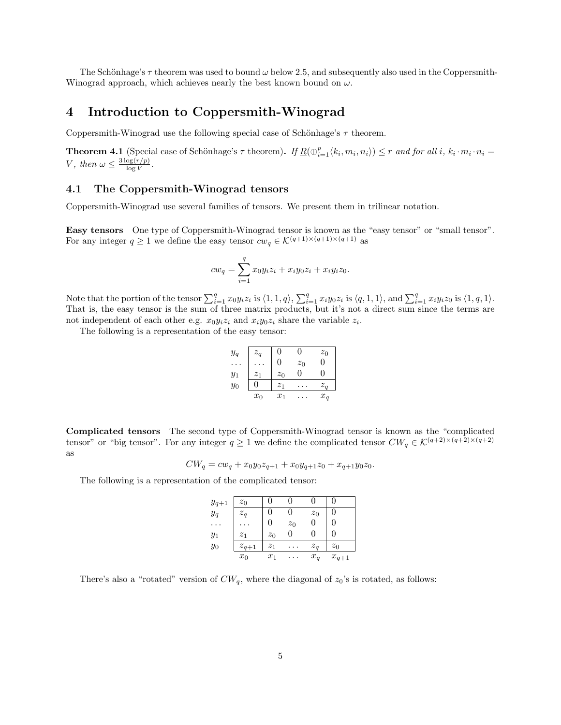The Schönhage's  $\tau$  theorem was used to bound  $\omega$  below 2.5, and subsequently also used in the Coppersmith-Winograd approach, which achieves nearly the best known bound on  $\omega$ .

### 4 Introduction to Coppersmith-Winograd

Coppersmith-Winograd use the following special case of Schönhage's  $\tau$  theorem.

**Theorem 4.1** (Special case of Schönhage's  $\tau$  theorem). If  $\underline{R}(\bigoplus_{i=1}^{p} \langle k_i, m_i, n_i \rangle) \leq r$  and for all i,  $k_i \cdot m_i \cdot n_i =$ V, then  $\omega \leq \frac{3 \log(r/p)}{\log V}$  $\frac{\log(r/p)}{\log V}$  .

#### 4.1 The Coppersmith-Winograd tensors

Coppersmith-Winograd use several families of tensors. We present them in trilinear notation.

Easy tensors One type of Coppersmith-Winograd tensor is known as the "easy tensor" or "small tensor". For any integer  $q \ge 1$  we define the easy tensor  $cw_q \in \mathcal{K}^{(q+1)\times(q+1)\times(q+1)}$  as

$$
cw_q = \sum_{i=1}^{q} x_0 y_i z_i + x_i y_0 z_i + x_i y_i z_0.
$$

Note that the portion of the tensor  $\sum_{i=1}^q x_0 y_i z_i$  is  $\langle 1, 1, q \rangle$ ,  $\sum_{i=1}^q x_i y_0 z_i$  is  $\langle q, 1, 1 \rangle$ , and  $\sum_{i=1}^q x_i y_i z_0$  is  $\langle 1, q, 1 \rangle$ . That is, the easy tensor is the sum of three matrix products, but it's not a direct sum since the terms are not independent of each other e.g.  $x_0y_iz_i$  and  $x_iy_0z_i$  share the variable  $z_i$ .

The following is a representation of the easy tensor:

| $y_q$ | $z_q$            | 0                | $\mathbf{0}$ | $z_0$        |
|-------|------------------|------------------|--------------|--------------|
|       |                  | 0                | $z_0$        | 0            |
| $y_1$ | $\overline{z}_1$ | $z_0$            | $\mathbf{0}$ | $\mathbf{0}$ |
| $y_0$ |                  | $\overline{z}_1$ | .            | $z_a$        |
|       | $x_0$            | $x_1$            | $\cdots$     | $x_q$        |

Complicated tensors The second type of Coppersmith-Winograd tensor is known as the "complicated tensor" or "big tensor". For any integer  $q \ge 1$  we define the complicated tensor  $CW_q \in \mathcal{K}^{(q+2)\times(q+2)\times(q+2)}$ as

$$
CW_q = cw_q + x_0 y_0 z_{q+1} + x_0 y_{q+1} z_0 + x_{q+1} y_0 z_0.
$$

The following is a representation of the complicated tensor:

| $y_{q+1}$ | $z_0$          |       |           |       |           |
|-----------|----------------|-------|-----------|-------|-----------|
| $y_q$     | $z_q$          |       |           | $z_0$ | O         |
|           |                |       | $z_0$     |       |           |
| $y_1$     | z <sub>1</sub> | $z_0$ |           |       | O         |
| $y_0$     | $z_{q+1}$      | $z_1$ | $\cdot$ . | $z_a$ | $z_0$     |
|           | $x_0$          | $x_1$ | $\cdots$  | $x_q$ | $x_{q+1}$ |

There's also a "rotated" version of  $CW_q$ , where the diagonal of  $z_0$ 's is rotated, as follows: